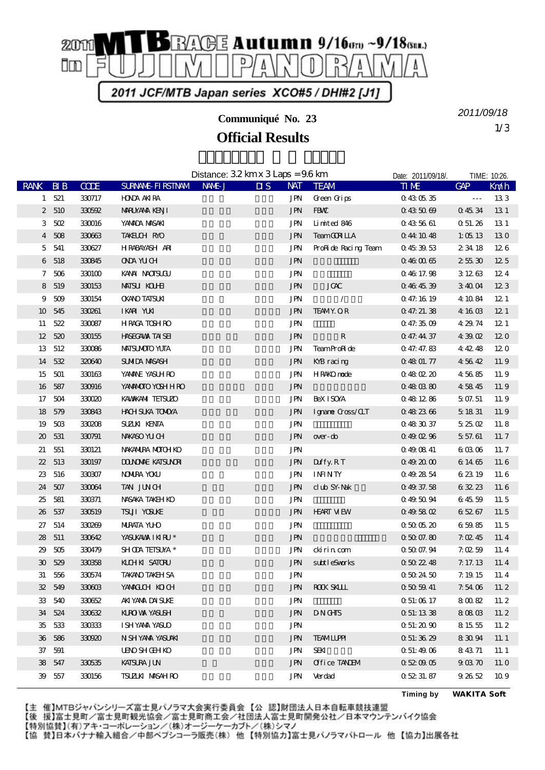

**Communiqué No. 23**

**Official Results**

1/3 *2011/09/18*

|                             |           |             |                          | Distance: $32 \text{ km} \times 3 \text{ Laps} = 96 \text{ km}$ |                                       |                                                                | Date: 2011/09/18/. | TIME: 10:26.         |                 |
|-----------------------------|-----------|-------------|--------------------------|-----------------------------------------------------------------|---------------------------------------|----------------------------------------------------------------|--------------------|----------------------|-----------------|
| <b>RANK</b>                 | BIB       | <b>CCDE</b> | <b>SURVANE FIRSTIVAM</b> | NAME J                                                          | $\overline{\mathbf{u}}$<br><b>NAT</b> | <b>TEAM</b>                                                    | <b>TIME</b>        | <b>GAP</b>           | Km/h            |
|                             | 1 521     | 330717      | <b>HONDA AKIRA</b>       |                                                                 | JPN                                   | Green Grips                                                    | 0430535            | $\sim$ $\sim$ $\sim$ | 133             |
|                             | 2 510     | 330592      | <b>MRUYAMA KENJI</b>     |                                                                 | $\mathbf{J}\mathbf{P}\!\mathbf{N}$    | <b>FBW</b>                                                     | 0435069            | 04534                | 13 1            |
|                             | 3.502     | 330016      | YANADA MASAKI            |                                                                 | <b>JPN</b>                            | Limited 846                                                    | 0435661            | Q 51.26              | 13 1            |
|                             | 4 508     | 330663      | TAKELCH RMO              |                                                                 | <b>JPN</b>                            | <b>TeamGCN LLA</b>                                             | 044 1048           | 1:0513               | 130             |
| $5^{\circ}$                 | 541       | 330627      | HRABAYASH ARI            |                                                                 | <b>JPN</b>                            | ProRide Racing Team                                            | 0453953            | 2 34 18              | 126             |
|                             | 6 518     | 330845      | <b>ONA YUCH</b>          |                                                                 | $\mathbf{J}\mathbf{P}\!\mathbf{N}$    |                                                                | 0.460065           | 25530                | 125             |
|                             | $7\,$ 506 | 330100      | KANA NOOSUOU             |                                                                 | JPN                                   |                                                                | 046 17.98          | 31263                | 124             |
|                             | 8 519     | 330153      | <b>MAISU KOLHI</b>       |                                                                 | $\mathbf{J}\mathbf{P}\!\mathbf{N}$    | <b>JCAC</b>                                                    | 0464539            | 34004                | 123             |
| 9                           | 509       | 330154      | <b>OKANO TATSUKI</b>     |                                                                 | <b>JPN</b>                            | $\prime$                                                       | 047.1619           | 4 10 84              | 121             |
|                             | 10 545    | 330261      | IKARI YUKI               |                                                                 | <b>JPN</b>                            | <b>TEAMY OR</b>                                                | 047.21.38          | 4 16 03              | 12 <sub>1</sub> |
|                             | 11 522    | 330087      | <b>HRACA TOSHRO</b>      |                                                                 | <b>JPN</b>                            |                                                                | 0.473509           | 4 29 74              | 121             |
|                             | 12 520    | 330155      | <b>HASECAVAX TAISEI</b>  |                                                                 | $\mathbf{J}\mathbf{P}\!\mathbf{N}$    | ${\bf R}$                                                      | 0 47.44 37         | 43902                | 120             |
|                             | 13 512    | 330086      | <b>MAISUMOIO YUIA</b>    |                                                                 | <b>JPN</b>                            | TeamProRide                                                    | 0.47.47.83         | 4 42 48              | 120             |
|                             | 14 532    | 320640      | <b>SUMIDA MASASH</b>     |                                                                 | <b>JPN</b>                            | KYB racing                                                     | 0 48 01.77         | 45642                | 11.9            |
| 15                          | 501       | 330163      | YAMANE YASUH RO          |                                                                 | JPN                                   | HR4KO node                                                     | 0480220            | 45685                | 11.9            |
|                             | 16 587    | 330916      | YANANOTO YOSHH RO        |                                                                 | <b>JPN</b>                            |                                                                | 0480880            | 45845                | 11.9            |
| 17                          | 504       | 330020      | KAWAKANI TEISUZO         |                                                                 | <b>JPN</b>                            | <b>BeXISOYA</b>                                                | 0481286            | 5 07.51              | 11.9            |
|                             | 18 579    | 330843      | <b>HACH SUKA TOMMA</b>   |                                                                 | <b>JPN</b>                            | Igname Goss/CLT                                                | 0482366            | $5\;18\;31$          | 11.9            |
| 19                          | 50B       | 330208      | <b>SUZUK KENTA</b>       |                                                                 | <b>JPN</b>                            |                                                                | 0483037            | 52502                | 11.8            |
| $\boldsymbol{\mathfrak{D}}$ | 531       | 330791      | NWASO YU CH              |                                                                 | $\mathbf{J}\mathbf{P}\!\mathbf{N}$    | over-do                                                        | 0490296            | 5 57.61              | 11.7            |
| 21                          | 551       | 330121      | NAKANIRA MOTOH KO        |                                                                 | <b>JPN</b>                            |                                                                | 0490841            | 60306                | 11.7            |
| 22                          | 513       | 330197      | <b>DONOAE KAISUNRI</b>   |                                                                 | $\mathbf{J}\mathbf{P}\!\mathbf{N}$    | Duffy.RT                                                       | 0492000            | 6 14 65              | 11.6            |
| $23\,$                      | 516       | 330307      | <b>NOWIRA YOKU</b>       |                                                                 | <b>JPN</b>                            | $\ensuremath{\mathsf{IN}\xspace\mathsf{INT}\xspace\mathsf{Y}}$ | 0492854            | 6 23 19              | 11.6            |
| 24                          | $507$     | 330064      | TAN JUNCH                |                                                                 | <b>JPN</b>                            | club SY-Nak                                                    | 049 37.58          | 63223                | 11.6            |
| 25                          | 581       | 330371      | NASAKA TAKEH KO          |                                                                 | <b>JPN</b>                            |                                                                | 0495094            | 64559                | 11.5            |
| 26                          | 537       | 330519      | <b>TSUI YOSUKE</b>       |                                                                 | <b>JPN</b>                            | <b>HEART MEW</b>                                               | 0.495802           | 65267                | 11.5            |
| 27                          | 514       | 330269      | <b>MIRATA YUID</b>       |                                                                 | <b>JPN</b>                            |                                                                | 0500520            | 65985                | 11.5            |
| 28                          | 511       | 330642      | YASUKAWA I KI RU *       |                                                                 | <b>JPN</b>                            |                                                                | 05007.80           | 7.0245               | 11.4            |
| 29                          | $505$     | 330479      | SHOPA TEISUYA *          |                                                                 | <b>JPN</b>                            | cki ri n com                                                   | 05007.94           | 7.0259               | 11.4            |
| $\boldsymbol{\mathfrak{D}}$ | 529       | 330358      | KICHKI SATORU            |                                                                 | <b>JPN</b>                            | subtleSworks                                                   | 0502248            | 7.17.13              | $11.4\,$        |
| 31                          | 556       | 330574      | <b>TAKANO TAKEH SA</b>   |                                                                 | <b>JPN</b>                            |                                                                | 0502450            | 7.1915               | $11.\,4$        |
|                             | 32 549    | 330603      | YAWACUH KOCH             |                                                                 | <b>JPN</b>                            | <b>ROCK SKLLL</b>                                              | 0505941            | 7.54 06              | 11.2            |
|                             | 33 540    | 330652      | AKI YANA DAI SUKE        |                                                                 | JPN                                   |                                                                | Q 51: 06 17        | 80082                | 11.2            |
|                             | 34 524    | 330632      | KURO VAN YASUSH          |                                                                 | <b>JPN</b>                            | <b>DNGHS</b>                                                   | 0 51:13 38         | 80803                | 11.2            |
|                             | 35 533    | 330333      | <b>ISHYAMA YASUO</b>     |                                                                 | <b>JPN</b>                            |                                                                | 0.51:20.90         | 8 15 55              | 11.2            |
|                             | 36 586    | 330920      | N SH YANA YASUAKI        |                                                                 | <b>JPN</b>                            | <b>TEAMILIPH</b>                                               | 0.51:36.29         | 83094                | 11.1            |
| 37                          | 591       |             | <b>UNO SHOTH KO</b>      |                                                                 | <b>JPN</b>                            | <b>SEKI</b>                                                    | 0.51:49.06         | 84371                | 11.1            |
|                             | 38 547    | 330535      | <b>KATSURA JUN</b>       |                                                                 | <b>JPN</b>                            | Office TANEM                                                   | 0520905            | 90370                | 11. O           |
|                             | 39 557    | 330156      | <b>TSUZLKI MASAHRO</b>   |                                                                 | JPN                                   | Verdad                                                         | 0 52 31 87         | 92652                | 109             |

**Timing by** *WAKITA Soft*

【主 催】MTBジャパンシリーズ富士見パノラマ大会実行委員会【公 認】財団法人日本自転車競技連盟

【後 援】富士見町/富士見町観光協会/富士見町商工会/社団法人富士見町開発公社/日本マウンテンバイク協会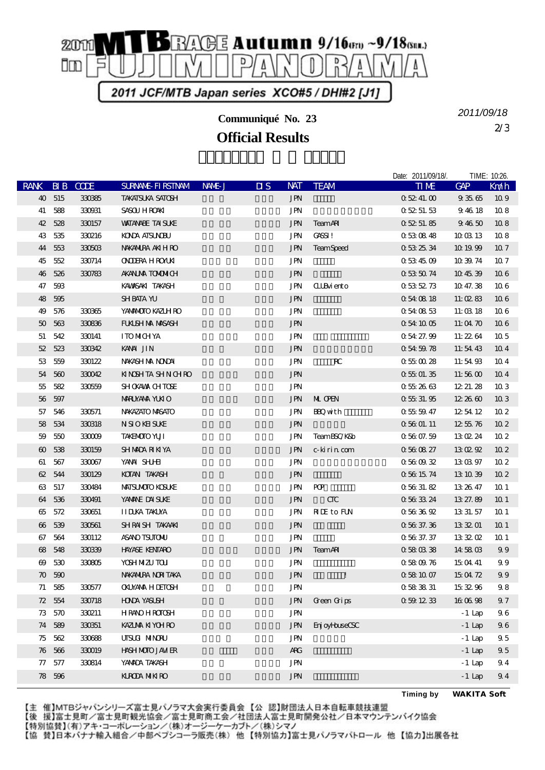

**Communiqué No. 23**

**Official Results**

2/3 *2011/09/18*

Date: 2011/09/18/. TIME: 10:26.

| <b>RANK</b> |        | <b>BIB</b> CODE | <b>SURVANE FIRSTIVAM</b> | NAME J | $\overline{\mathbf{u}}$ s | <b>NAT</b>           | <b>TEAM</b>               | <b>TIME</b> | <b>GAP</b> | Kn⁄h            |
|-------------|--------|-----------------|--------------------------|--------|---------------------------|----------------------|---------------------------|-------------|------------|-----------------|
|             | 40 515 | 330385          | TAKATSUKA SATOSH         |        |                           | <b>JPN</b>           |                           | 05241.00    | 93565      | 109             |
|             | 41 588 | 330931          | SASOU HROAKI             |        |                           | <b>JPN</b>           |                           | 05251.53    | 94618      | 108             |
|             | 42 528 | 330157          | <b>WITANAE TAI SUKE</b>  |        |                           | $\operatorname{JPN}$ | <b>TeamAR</b>             | 05251.85    | 94650      | 108             |
| 43          | 535    | 330216          | <b>KONA AISUNDU</b>      |        |                           | JPN                  | <b>CASSI!</b>             | 0530848     | 1003 13    | 108             |
|             | 44 553 | 330503          | NAKANIRA AKIHRO          |        |                           | <b>JPN</b>           | <b>TeamSpeed</b>          | 0532534     | 10 19 99   | $107$           |
|             | 45 552 | 330714          | <b>ONDERA HROMN</b>      |        |                           | JPN                  |                           | 0534509     | 10 39 74   | 107             |
|             | 46 526 | 330783          | <b>AKANJA TOMMICH</b>    |        |                           | <b>JPN</b>           |                           | 0535074     | 10 45 39   | 106             |
| 47          | 593    |                 | KAWASAKI TAKASH          |        |                           | JPN                  | <b>CLIB</b> iento         | 0535273     | 10 47.38   | 106             |
|             | 48 595 |                 | <b>SHBATA YU</b>         |        |                           | $\operatorname{JPN}$ |                           | 054 08 18   | 11:0283    | 106             |
| 49          | 576    | 330365          | YANANOJO KAZLH RO        |        |                           | JPN                  |                           | 0540853     | 11:03 18   | 106             |
|             | 50 563 | 330836          | <b>FULSH MA MASASH</b>   |        |                           | <b>JPN</b>           |                           | 0.54 10 05  | 11:04 70   | 106             |
| 51          | 542    | 330141          | <b>ITOMIGHYA</b>         |        |                           | JPN                  |                           | 0 54 27.99  | 11:22.64   | 10 <sub>5</sub> |
|             | 52 523 | 330342          | KANA JIN                 |        |                           | <b>JPN</b>           |                           | 0545978     | 11:54 43   | 10 <sub>4</sub> |
|             | 53 559 | 330122          | NWASH MA NONDAI          |        |                           | JPN                  | $\mathbf{R}^{\mathbf{C}}$ | 0550028     | 11:54 93   | 10 <sub>4</sub> |
|             | 54 560 | 330042          | KINSHTA SHN CHRO         |        |                           | <b>JPN</b>           |                           | 0550135     | 11:56 $00$ | 10 <sub>4</sub> |
|             | 55 582 | 330559          | SHOKAWA CHTOSE           |        |                           | JPN                  |                           | 0552663     | 12 21 28   | 103             |
|             | 56 597 |                 | <b>MRUYAMA YUKIO</b>     |        |                           | <b>JPN</b>           | ML OEN                    | 0.5531.95   | 12,26,60   | 10 <sub>3</sub> |
| 57          | 546    | 330571          | NAKAZATO MASATO          |        |                           | <b>JPN</b>           | <b>BQ</b> with            | 0.555947    | 12 54 12   | 10 <sub>2</sub> |
|             | 58 534 | 330318          | <b>NSIOKHSUKE</b>        |        |                           | <b>JPN</b>           |                           | 05601.11    | 12 55 76   | 10 <sub>2</sub> |
| 59          | 550    | 330009          | TAKENOTO YUT             |        |                           | JPN                  | TeamBSC/K&b               | 0.5607.59   | 13 O 24    | 10 <sub>2</sub> |
|             | 60 538 | 330159          | <b>SHMADA RIKIYA</b>     |        |                           | <b>JPN</b>           | c-kirin com               | 0560827     | 13 O 29    | 10 <sub>2</sub> |
| 61          | 567    | 330067          | YANA SHJHI               |        |                           | JPN                  |                           | 0560932     | 130397     | 102             |
|             | 62 544 | 330129          | KOTAN TAKASH             |        |                           | <b>JPN</b>           |                           | 056 1574    | 13 10 39   | 10 <sub>2</sub> |
|             | 63 517 | 330484          | <b>MAISUMOIO KOSUKE</b>  |        |                           | JPN                  | PQ                        | 05631.82    | 13 26 47   | 10 <sub>1</sub> |
|             | 64 536 | 330491          | YANANE DAISUNE           |        |                           | <b>JPN</b>           | $CTC$                     | 0563324     | 13 27.89   | 10 <sub>1</sub> |
|             | 65 572 | 330651          | <b>IIDJKA TAKUYA</b>     |        |                           | <b>JPN</b>           | <b>NIE</b> to FUN         | 0563692     | 13 31 57   | 10 <sub>1</sub> |
|             | 66 539 | 330561          | SHRAISH TAKAAKI          |        |                           | <b>JPN</b>           |                           | 0.5637336   | 13 32 01   | 10 <sub>1</sub> |
|             | 67 564 | 330112          | <b>ASANO TSUTONU</b>     |        |                           | JPN                  |                           | 0.563737    | 13 32 Q    | 10 <sub>1</sub> |
|             | 68 548 | 330339          | <b>HAYASE KENTARO</b>    |        |                           | <b>JPN</b>           | <b>TeamAR</b>             | 0580338     | 14 58 03   | 99              |
|             | 69 530 | 330805          | <b>YOSH MIZU TOLI</b>    |        |                           | JPN                  |                           | 0580976     | 15 04 41   | 99              |
|             | 70,590 |                 | NAKANIRA NORITAKA        |        |                           | $\operatorname{JPN}$ | Ţ                         | 0581007     | 15 04 72   | 99              |
|             | 71 585 | 330577          | <b>OKMAMA HIETOSH</b>    |        |                           | JPN                  |                           | 0583831     | 153296     | 98              |
|             | 72 554 | 330718          | <b>HONA YASUSH</b>       |        |                           | <b>JPN</b>           | Green Grips               | 0591233     | 160698     | 97              |
| 73          | 570    | 330211          | <b>HRAOHROTOSH</b>       |        |                           | JPN                  |                           |             | $-1$ Lap   | $9\,6$          |
|             | 74 589 | 330351          | <b>KAZIMA KIYOHRO</b>    |        |                           | <b>JPN</b>           | Enj oyHuseCSC             |             | $-1$ Lap   | 96              |
|             | 75 562 | 330688          | UISUA MINORU             |        |                           | <b>JPN</b>           |                           |             | $-1$ Lap   | 95              |
|             | 76 566 | 330019          | HASH MOTO JAMER          |        |                           | <b>ARG</b>           |                           |             | $-1$ Lap   | 95              |
| $\pi$       | 577    | 330814          | YANADA TAKASH            |        |                           | JPN                  |                           |             | $-1$ Lap   | 94              |
|             | 78 596 |                 | <b>KROA MIKRO</b>        |        |                           | <b>JPN</b>           |                           |             | $-1$ Lap   | 94              |

【主 催】MTBジャパンシリーズ富士見パノラマ大会実行委員会【公 認】財団法人日本自転車競技連盟

【後 援】富士見町/富士見町観光協会/富士見町商工会/社団法人富士見町開発公社/日本マウンテンバイク協会

**Timing by** *WAKITA Soft*